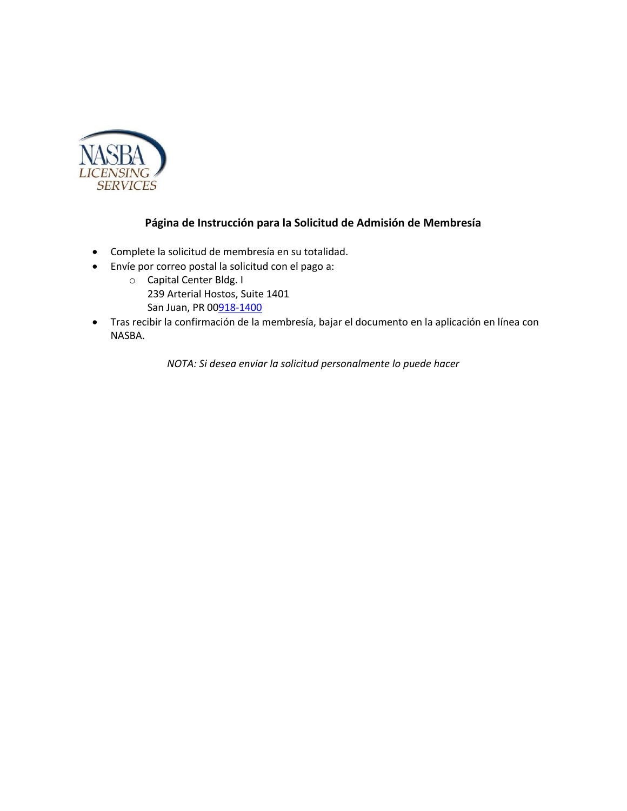

### **Página de Instrucción para la Solicitud de Admisión de Membresía**

- Complete la solicitud de membresía en su totalidad.
- Envíe por correo postal la solicitud con el pago a:
	- o Capital Center Bldg. I 239 Arterial Hostos, Suite 1401 San Juan, PR 0[0918-1400](callto:+1918-1400)
- Tras recibir la confirmación de la membresía, bajar el documento en la aplicación en línea con NASBA.

*NOTA: Si desea enviar la solicitud personalmente lo puede hacer*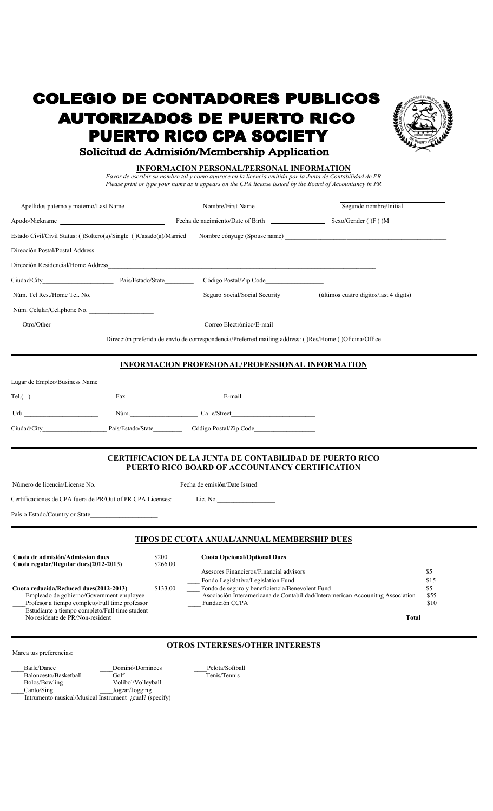# **COLEGIO DE CONTADORES PUBLICOS AUTORIZADOS DE PUERTO RICO PUERTO RICO CPA SOCIETY**



# Solicitud de Admisión/Membership Application

#### **INFORMACION PERSONAL/PERSONAL INFORMATION**

*Favor de escribir su nombre tal y como aparece en la licencia emitida por la Junta de Contabilidad de PR Please print or type your name as it appears on the CPA license issued by the Board of Accountancy in PR*

| Apellidos paterno y materno/Last Name                                                                                                                                                                             | Nombre/First Name                                                                                                                                                                                                          | Segundo nombre/Initial                                                                                               |
|-------------------------------------------------------------------------------------------------------------------------------------------------------------------------------------------------------------------|----------------------------------------------------------------------------------------------------------------------------------------------------------------------------------------------------------------------------|----------------------------------------------------------------------------------------------------------------------|
| Apodo/Nickname                                                                                                                                                                                                    |                                                                                                                                                                                                                            |                                                                                                                      |
| Estado Civil/Civil Status: ()Soltero(a)/Single ()Casado(a)/Married                                                                                                                                                |                                                                                                                                                                                                                            |                                                                                                                      |
|                                                                                                                                                                                                                   |                                                                                                                                                                                                                            |                                                                                                                      |
|                                                                                                                                                                                                                   |                                                                                                                                                                                                                            |                                                                                                                      |
|                                                                                                                                                                                                                   |                                                                                                                                                                                                                            |                                                                                                                      |
|                                                                                                                                                                                                                   |                                                                                                                                                                                                                            | Seguro Social/Social Security____________(últimos cuatro dígitos/last 4 digits)                                      |
|                                                                                                                                                                                                                   |                                                                                                                                                                                                                            |                                                                                                                      |
| Otro/Other                                                                                                                                                                                                        |                                                                                                                                                                                                                            | Correo Electrónico/E-mail                                                                                            |
|                                                                                                                                                                                                                   | Dirección preferida de envío de correspondencia/Preferred mailing address: ()Res/Home ()Oficina/Office                                                                                                                     |                                                                                                                      |
|                                                                                                                                                                                                                   |                                                                                                                                                                                                                            |                                                                                                                      |
|                                                                                                                                                                                                                   | <b>INFORMACION PROFESIONAL/PROFESSIONAL INFORMATION</b>                                                                                                                                                                    |                                                                                                                      |
| Lugar de Empleo/Business Name                                                                                                                                                                                     |                                                                                                                                                                                                                            |                                                                                                                      |
| Tel()                                                                                                                                                                                                             | $\text{Fax}$ E-mail E-mail                                                                                                                                                                                                 |                                                                                                                      |
| Urb.                                                                                                                                                                                                              | Núm. Calle/Street                                                                                                                                                                                                          |                                                                                                                      |
| Ciudad/City                                                                                                                                                                                                       | País/Estado/State______________Código Postal/Zip Code___________________________                                                                                                                                           |                                                                                                                      |
|                                                                                                                                                                                                                   |                                                                                                                                                                                                                            |                                                                                                                      |
|                                                                                                                                                                                                                   | <b>CERTIFICACION DE LA JUNTA DE CONTABILIDAD DE PUERTO RICO</b><br>PUERTO RICO BOARD OF ACCOUNTANCY CERTIFICATION                                                                                                          |                                                                                                                      |
| Número de licencia/License No.                                                                                                                                                                                    |                                                                                                                                                                                                                            |                                                                                                                      |
| Certificaciones de CPA fuera de PR/Out of PR CPA Licenses:                                                                                                                                                        | Lic. No.                                                                                                                                                                                                                   |                                                                                                                      |
| País o Estado/Country or State                                                                                                                                                                                    |                                                                                                                                                                                                                            |                                                                                                                      |
|                                                                                                                                                                                                                   |                                                                                                                                                                                                                            |                                                                                                                      |
|                                                                                                                                                                                                                   | TIPOS DE CUOTA ANUAL/ANNUAL MEMBERSHIP DUES                                                                                                                                                                                |                                                                                                                      |
| Cuota de admisión/Admission dues<br>Cuota regular/Regular dues(2012-2013)<br>Cuota reducida/Reduced dues(2012-2013)<br>Empleado de gobierno/Government employee<br>Profesor a tiempo completo/Full time professor | \$200<br><b>Cuota Opcional/Optional Dues</b><br>\$266.00<br>Asesores Financieros/Financial advisors<br>Fondo Legislativo/Legislation Fund<br>Fondo de seguro y beneficiencia/Benevolent Fund<br>\$133.00<br>Fundación CCPA | \$5<br>\$15<br>\$5<br>Asociación Interamericana de Contabilidad/Interamerican Accounitng Association<br>\$55<br>\$10 |
| Estudiante a tiempo completo/Full time student<br>No residente de PR/Non-resident                                                                                                                                 |                                                                                                                                                                                                                            | Total                                                                                                                |
|                                                                                                                                                                                                                   |                                                                                                                                                                                                                            |                                                                                                                      |
| Marca tus preferencias:                                                                                                                                                                                           | <b>OTROS INTERESES/OTHER INTERESTS</b>                                                                                                                                                                                     |                                                                                                                      |

 \_\_\_\_Baile/Dance \_\_\_\_Dominó/Dominoes \_\_\_\_Pelota/Softball Example 3 and Baloncesto/Basketball **Algebra 2016**<br>
<u>Bolos</u>/Bowling **Example 2016** Volibol/Volleyball Bolos/Bowling Volibol/Volleyball Canto/Sing Jogear/Jogging

Intrumento musical/Musical Instrument *¿cual?* (specify)